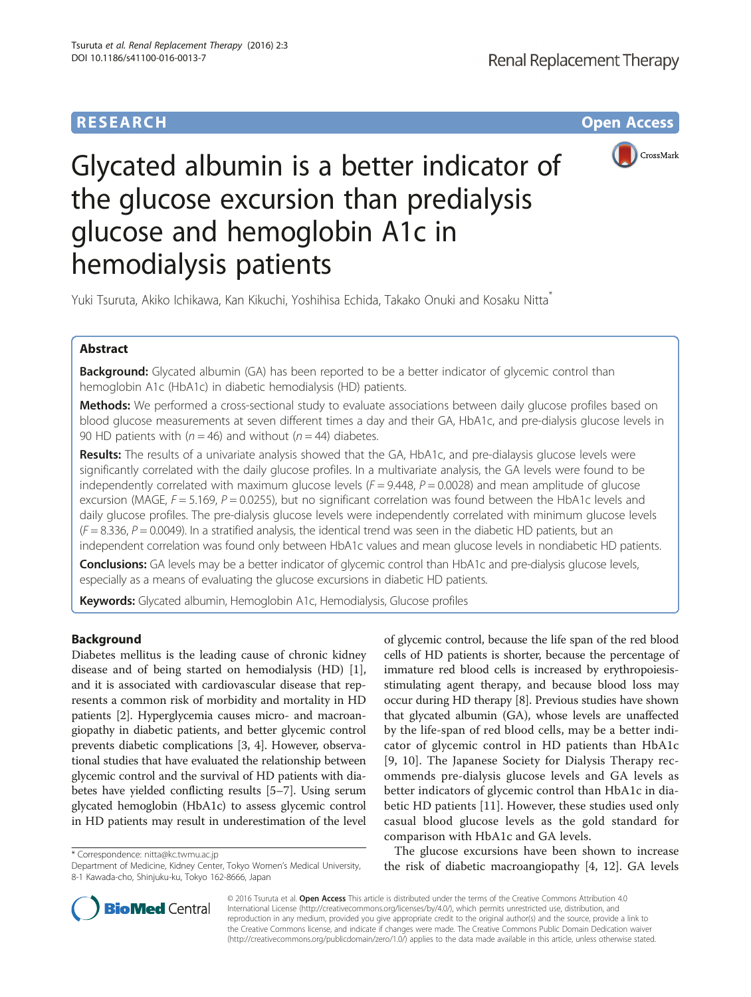## **RESEARCH CHE Open Access**



# Glycated albumin is a better indicator of the glucose excursion than predialysis glucose and hemoglobin A1c in hemodialysis patients

Yuki Tsuruta, Akiko Ichikawa, Kan Kikuchi, Yoshihisa Echida, Takako Onuki and Kosaku Nitta\*

## Abstract

**Background:** Glycated albumin (GA) has been reported to be a better indicator of glycemic control than hemoglobin A1c (HbA1c) in diabetic hemodialysis (HD) patients.

Methods: We performed a cross-sectional study to evaluate associations between daily glucose profiles based on blood glucose measurements at seven different times a day and their GA, HbA1c, and pre-dialysis glucose levels in 90 HD patients with ( $n = 46$ ) and without ( $n = 44$ ) diabetes.

Results: The results of a univariate analysis showed that the GA, HbA1c, and pre-dialaysis glucose levels were significantly correlated with the daily glucose profiles. In a multivariate analysis, the GA levels were found to be independently correlated with maximum glucose levels  $(F = 9.448, P = 0.0028)$  and mean amplitude of glucose excursion (MAGE,  $F = 5.169$ ,  $P = 0.0255$ ), but no significant correlation was found between the HbA1c levels and daily glucose profiles. The pre-dialysis glucose levels were independently correlated with minimum glucose levels  $(F = 8.336, P = 0.0049)$ . In a stratified analysis, the identical trend was seen in the diabetic HD patients, but an independent correlation was found only between HbA1c values and mean glucose levels in nondiabetic HD patients.

Conclusions: GA levels may be a better indicator of glycemic control than HbA1c and pre-dialysis glucose levels, especially as a means of evaluating the glucose excursions in diabetic HD patients.

Keywords: Glycated albumin, Hemoglobin A1c, Hemodialysis, Glucose profiles

## Background

Diabetes mellitus is the leading cause of chronic kidney disease and of being started on hemodialysis (HD) [\[1](#page-4-0)], and it is associated with cardiovascular disease that represents a common risk of morbidity and mortality in HD patients [\[2](#page-4-0)]. Hyperglycemia causes micro- and macroangiopathy in diabetic patients, and better glycemic control prevents diabetic complications [\[3](#page-4-0), [4\]](#page-4-0). However, observational studies that have evaluated the relationship between glycemic control and the survival of HD patients with diabetes have yielded conflicting results [\[5](#page-4-0)–[7\]](#page-4-0). Using serum glycated hemoglobin (HbA1c) to assess glycemic control in HD patients may result in underestimation of the level

\* Correspondence: [nitta@kc.twmu.ac.jp](mailto:nitta@kc.twmu.ac.jp)

of glycemic control, because the life span of the red blood cells of HD patients is shorter, because the percentage of immature red blood cells is increased by erythropoiesisstimulating agent therapy, and because blood loss may occur during HD therapy [[8\]](#page-4-0). Previous studies have shown that glycated albumin (GA), whose levels are unaffected by the life-span of red blood cells, may be a better indicator of glycemic control in HD patients than HbA1c [[9](#page-4-0), [10](#page-4-0)]. The Japanese Society for Dialysis Therapy recommends pre-dialysis glucose levels and GA levels as better indicators of glycemic control than HbA1c in diabetic HD patients [[11\]](#page-4-0). However, these studies used only casual blood glucose levels as the gold standard for comparison with HbA1c and GA levels.

The glucose excursions have been shown to increase the risk of diabetic macroangiopathy [\[4](#page-4-0), [12](#page-4-0)]. GA levels



© 2016 Tsuruta et al. Open Access This article is distributed under the terms of the Creative Commons Attribution 4.0 International License [\(http://creativecommons.org/licenses/by/4.0/](http://creativecommons.org/licenses/by/4.0/)), which permits unrestricted use, distribution, and reproduction in any medium, provided you give appropriate credit to the original author(s) and the source, provide a link to the Creative Commons license, and indicate if changes were made. The Creative Commons Public Domain Dedication waiver [\(http://creativecommons.org/publicdomain/zero/1.0/](http://creativecommons.org/publicdomain/zero/1.0/)) applies to the data made available in this article, unless otherwise stated.

Department of Medicine, Kidney Center, Tokyo Women's Medical University, 8-1 Kawada-cho, Shinjuku-ku, Tokyo 162-8666, Japan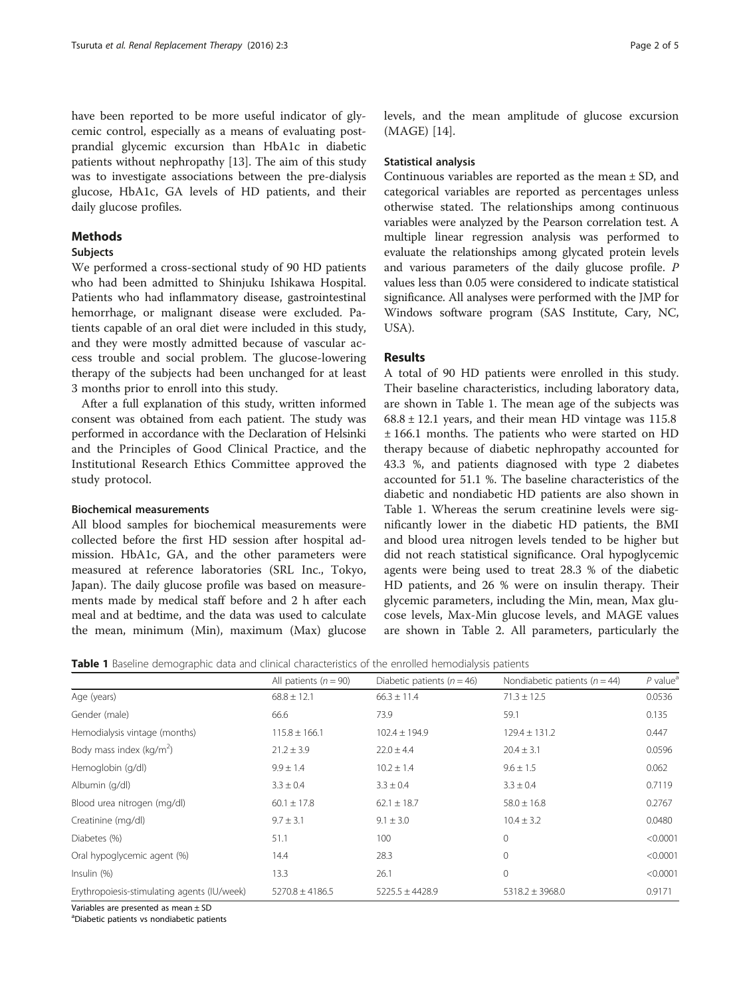have been reported to be more useful indicator of glycemic control, especially as a means of evaluating postprandial glycemic excursion than HbA1c in diabetic patients without nephropathy [\[13](#page-4-0)]. The aim of this study was to investigate associations between the pre-dialysis glucose, HbA1c, GA levels of HD patients, and their daily glucose profiles.

### **Methods**

#### **Subjects**

We performed a cross-sectional study of 90 HD patients who had been admitted to Shinjuku Ishikawa Hospital. Patients who had inflammatory disease, gastrointestinal hemorrhage, or malignant disease were excluded. Patients capable of an oral diet were included in this study, and they were mostly admitted because of vascular access trouble and social problem. The glucose-lowering therapy of the subjects had been unchanged for at least 3 months prior to enroll into this study.

After a full explanation of this study, written informed consent was obtained from each patient. The study was performed in accordance with the Declaration of Helsinki and the Principles of Good Clinical Practice, and the Institutional Research Ethics Committee approved the study protocol.

### Biochemical measurements

All blood samples for biochemical measurements were collected before the first HD session after hospital admission. HbA1c, GA, and the other parameters were measured at reference laboratories (SRL Inc., Tokyo, Japan). The daily glucose profile was based on measurements made by medical staff before and 2 h after each meal and at bedtime, and the data was used to calculate the mean, minimum (Min), maximum (Max) glucose levels, and the mean amplitude of glucose excursion (MAGE) [\[14](#page-4-0)].

#### Statistical analysis

Continuous variables are reported as the mean ± SD, and categorical variables are reported as percentages unless otherwise stated. The relationships among continuous variables were analyzed by the Pearson correlation test. A multiple linear regression analysis was performed to evaluate the relationships among glycated protein levels and various parameters of the daily glucose profile. P values less than 0.05 were considered to indicate statistical significance. All analyses were performed with the JMP for Windows software program (SAS Institute, Cary, NC, USA).

#### Results

A total of 90 HD patients were enrolled in this study. Their baseline characteristics, including laboratory data, are shown in Table 1. The mean age of the subjects was  $68.8 \pm 12.1$  years, and their mean HD vintage was 115.8 ± 166.1 months. The patients who were started on HD therapy because of diabetic nephropathy accounted for 43.3 %, and patients diagnosed with type 2 diabetes accounted for 51.1 %. The baseline characteristics of the diabetic and nondiabetic HD patients are also shown in Table 1. Whereas the serum creatinine levels were significantly lower in the diabetic HD patients, the BMI and blood urea nitrogen levels tended to be higher but did not reach statistical significance. Oral hypoglycemic agents were being used to treat 28.3 % of the diabetic HD patients, and 26 % were on insulin therapy. Their glycemic parameters, including the Min, mean, Max glucose levels, Max-Min glucose levels, and MAGE values are shown in Table [2](#page-2-0). All parameters, particularly the

Table 1 Baseline demographic data and clinical characteristics of the enrolled hemodialysis patients

|                                             | All patients ( $n = 90$ ) | Diabetic patients ( $n = 46$ ) | Nondiabetic patients ( $n = 44$ ) | $P$ value <sup>a</sup><br>0.0536 |  |
|---------------------------------------------|---------------------------|--------------------------------|-----------------------------------|----------------------------------|--|
| Age (years)                                 | $68.8 \pm 12.1$           | $66.3 \pm 11.4$                | $71.3 \pm 12.5$                   |                                  |  |
| Gender (male)                               | 66.6                      | 73.9                           | 59.1                              | 0.135                            |  |
| Hemodialysis vintage (months)               | $115.8 \pm 166.1$         | $102.4 \pm 194.9$              | $129.4 \pm 131.2$                 | 0.447                            |  |
| Body mass index ( $\text{kg/m}^2$ )         | $21.2 \pm 3.9$            | $22.0 \pm 4.4$                 | $20.4 \pm 3.1$                    | 0.0596                           |  |
| Hemoglobin (g/dl)                           | $9.9 \pm 1.4$             | $10.2 \pm 1.4$                 | $9.6 \pm 1.5$                     | 0.062                            |  |
| Albumin (q/dl)                              | $3.3 \pm 0.4$             | $3.3 \pm 0.4$                  | $3.3 \pm 0.4$                     | 0.7119                           |  |
| Blood urea nitrogen (mg/dl)                 | $60.1 \pm 17.8$           | $62.1 \pm 18.7$                | $58.0 \pm 16.8$                   | 0.2767                           |  |
| Creatinine (mg/dl)                          | $9.7 \pm 3.1$             | $9.1 \pm 3.0$                  | $10.4 \pm 3.2$                    | 0.0480                           |  |
| Diabetes (%)                                | 51.1                      | 100                            | $\Omega$                          | < 0.0001                         |  |
| Oral hypoglycemic agent (%)                 | 14.4                      | 28.3                           | $\Omega$                          | < 0.0001                         |  |
| Insulin (%)                                 | 13.3                      | 26.1                           | $\Omega$                          | < 0.0001                         |  |
| Erythropoiesis-stimulating agents (IU/week) | $5270.8 \pm 4186.5$       | $5225.5 \pm 4428.9$            | $5318.2 \pm 3968.0$               | 0.9171                           |  |

Variables are presented as mean ± SD

<sup>a</sup>Diabetic patients vs nondiabetic patients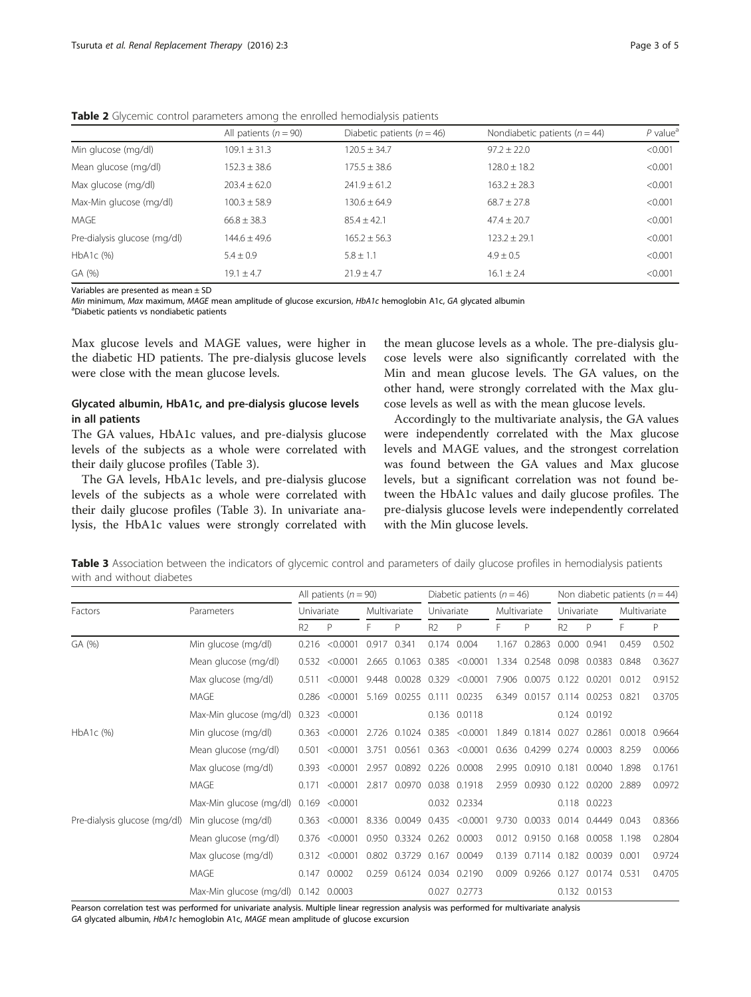|                              | All patients ( $n = 90$ ) | Diabetic patients ( $n = 46$ ) | Nondiabetic patients ( $n = 44$ ) | $P$ value <sup>a</sup> |  |
|------------------------------|---------------------------|--------------------------------|-----------------------------------|------------------------|--|
| Min glucose (mg/dl)          | $109.1 \pm 31.3$          | $120.5 \pm 34.7$               | $97.2 + 22.0$                     | < 0.001                |  |
| Mean glucose (mg/dl)         | $152.3 \pm 38.6$          | $175.5 + 38.6$                 | $128.0 + 18.2$                    | < 0.001                |  |
| Max glucose (mg/dl)          | $203.4 + 62.0$            | $241.9 + 61.2$                 | $163.2 + 28.3$                    | < 0.001                |  |
| Max-Min glucose (mg/dl)      | $100.3 + 58.9$            | 130.6 + 64.9                   | $68.7 + 27.8$                     | < 0.001                |  |
| MAGE                         | $66.8 + 38.3$             | $85.4 + 42.1$                  | $47.4 + 20.7$                     | < 0.001                |  |
| Pre-dialysis glucose (mg/dl) | $144.6 + 49.6$            | $165.2 + 56.3$                 | $123.2 + 29.1$                    | < 0.001                |  |
| HbA1c (%)                    | $5.4 + 0.9$               | $5.8 + 1.1$                    | $4.9 + 0.5$                       | < 0.001                |  |
| GA (%)                       | $19.1 + 4.7$              | $71.9 + 4.7$                   | $16.1 \pm 2.4$                    | < 0.001                |  |

<span id="page-2-0"></span>Table 2 Glycemic control parameters among the enrolled hemodialysis patients

Variables are presented as mean ± SD

Min minimum, Max maximum, MAGE mean amplitude of glucose excursion, HbA1c hemoglobin A1c, GA glycated albumin <sup>a</sup>Diabetic patients vs nondiabetic patients

Max glucose levels and MAGE values, were higher in the diabetic HD patients. The pre-dialysis glucose levels were close with the mean glucose levels.

## Glycated albumin, HbA1c, and pre-dialysis glucose levels in all patients

The GA values, HbA1c values, and pre-dialysis glucose levels of the subjects as a whole were correlated with their daily glucose profiles (Table 3).

The GA levels, HbA1c levels, and pre-dialysis glucose levels of the subjects as a whole were correlated with their daily glucose profiles (Table 3). In univariate analysis, the HbA1c values were strongly correlated with

the mean glucose levels as a whole. The pre-dialysis glucose levels were also significantly correlated with the Min and mean glucose levels. The GA values, on the other hand, were strongly correlated with the Max glucose levels as well as with the mean glucose levels.

Accordingly to the multivariate analysis, the GA values were independently correlated with the Max glucose levels and MAGE values, and the strongest correlation was found between the GA values and Max glucose levels, but a significant correlation was not found between the HbA1c values and daily glucose profiles. The pre-dialysis glucose levels were independently correlated with the Min glucose levels.

Table 3 Association between the indicators of glycemic control and parameters of daily glucose profiles in hemodialysis patients with and without diabetes

|                              | Parameters                           | All patients ( $n = 90$ ) |                    |              | Diabetic patients ( $n = 46$ ) |                |                          |              | Non diabetic patients ( $n = 44$ ) |                |                                 |              |        |
|------------------------------|--------------------------------------|---------------------------|--------------------|--------------|--------------------------------|----------------|--------------------------|--------------|------------------------------------|----------------|---------------------------------|--------------|--------|
| Factors                      |                                      | Univariate                |                    | Multivariate |                                | Univariate     |                          | Multivariate |                                    | Univariate     |                                 | Multivariate |        |
|                              |                                      | R <sub>2</sub>            | P                  | F            | P                              | R <sub>2</sub> | P                        |              | P                                  | R <sub>2</sub> | P                               |              | P      |
| GA (%)                       | Min glucose (mg/dl)                  |                           | 0.216 < 0.0001     | 0.917        | 0.341                          |                | 0.174 0.004              | 1.167        | 0.2863                             | 0.000          | 0.941                           | 0.459        | 0.502  |
|                              | Mean glucose (mg/dl)                 |                           | 0.532 < 0.0001     | 2.665        |                                |                | $0.1063$ $0.385$ <0.0001 | 1.334        |                                    |                | 0.2548 0.098 0.0383             | 0.848        | 0.3627 |
|                              | Max glucose (mg/dl)                  | 0.511                     | < 0.0001           | 9.448        | 0.0028 0.329                   |                | < 0.0001                 |              | 7.906 0.0075                       | 0.122          | 0.0201                          | 0.012        | 0.9152 |
|                              | MAGE                                 | 0.286                     | < 0.0001           | 5.169        | 0.0255                         | 0.111          | 0.0235                   | 6.349        | 0.0157                             |                | 0.114 0.0253 0.821              |              | 0.3705 |
|                              | Max-Min glucose (mg/dl)              |                           | 0.323 < 0.0001     |              |                                |                | 0.136 0.0118             |              |                                    |                | 0.124 0.0192                    |              |        |
| $HbA1c$ (%)                  | Min glucose (mg/dl)                  |                           | $0.363$ <0.0001    | 2.726        |                                |                | $0.1024$ $0.385$ <0.0001 | 1.849        | 0.1814                             | 0.027          | 0.2861                          | 0.0018       | 0.9664 |
|                              | Mean glucose (mg/dl)                 | 0.501                     | < 0.0001           | 3.751        |                                |                | $0.0561$ $0.363$ <0.0001 |              |                                    |                | 0.636 0.4299 0.274 0.0003       | 8.259        | 0.0066 |
|                              | Max glucose (mg/dl)                  | 0.393                     | < 0.0001           | 2.957        |                                |                | 0.0892 0.226 0.0008      |              | 2.995 0.0910 0.181                 |                | 0.0040                          | 1.898        | 0.1761 |
|                              | MAGE                                 | 0.171                     | < 0.0001           | 2.817        |                                |                | 0.0970 0.038 0.1918      | 2.959        |                                    |                | 0.0930 0.122 0.0200 2.889       |              | 0.0972 |
|                              | Max-Min glucose (mg/dl)              |                           | $0.169$ < $0.0001$ |              |                                |                | 0.032 0.2334             |              |                                    |                | 0.118 0.0223                    |              |        |
| Pre-dialysis glucose (mg/dl) | Min glucose (mg/dl)                  |                           | 0.363 < 0.0001     |              | 8.336 0.0049                   |                | $0.435 \le 0.0001$       | 9.730        | 0.0033                             |                | 0.014 0.4449                    | 0.043        | 0.8366 |
|                              | Mean glucose (mg/dl)                 |                           | 0.376 < 0.0001     |              | 0.950 0.3324 0.262 0.0003      |                |                          |              |                                    |                | 0.012 0.9150 0.168 0.0058 1.198 |              | 0.2804 |
|                              | Max glucose (mg/dl)                  | 0.312                     | < 0.0001           | 0.802        | 0.3729 0.167 0.0049            |                |                          | 0.139        |                                    |                | 0.7114 0.182 0.0039             | 0.001        | 0.9724 |
|                              | MAGE                                 |                           | 0.147 0.0002       | 0.259        |                                |                | 0.6124 0.034 0.2190      | 0.009        | 0.9266                             | 0.127          | 0.0174 0.531                    |              | 0.4705 |
|                              | Max-Min glucose (mg/dl) 0.142 0.0003 |                           |                    |              |                                |                | 0.027 0.2773             |              |                                    |                | 0.132 0.0153                    |              |        |

Pearson correlation test was performed for univariate analysis. Multiple linear regression analysis was performed for multivariate analysis

GA glycated albumin, HbA1c hemoglobin A1c, MAGE mean amplitude of glucose excursion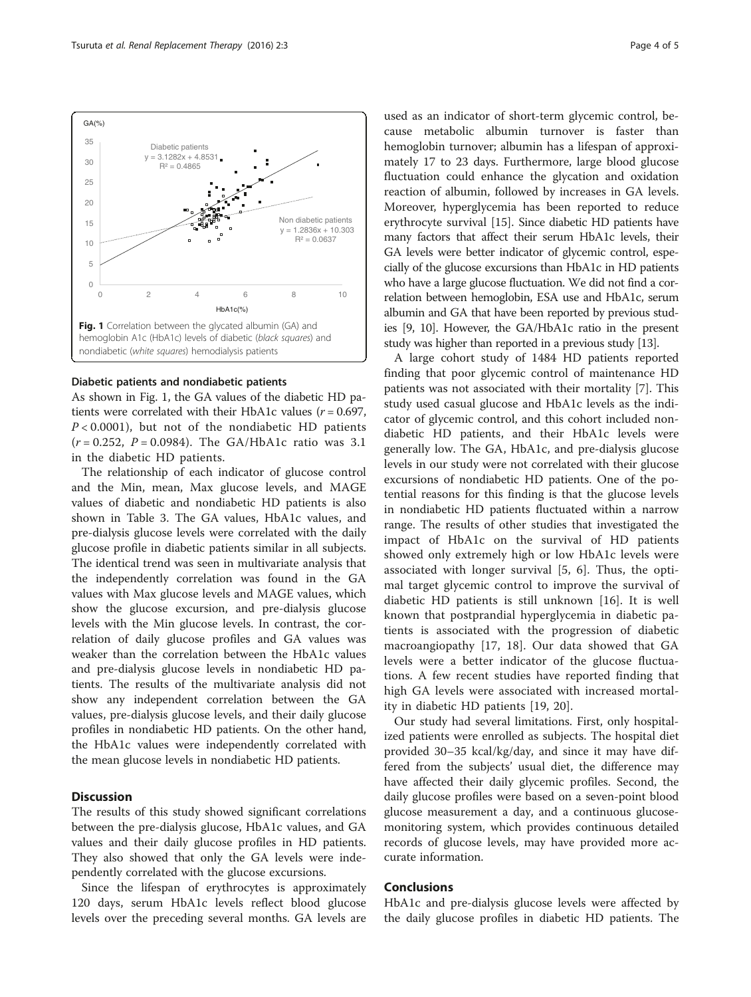

#### Diabetic patients and nondiabetic patients

As shown in Fig. 1, the GA values of the diabetic HD patients were correlated with their HbA1c values ( $r = 0.697$ ,  $P < 0.0001$ ), but not of the nondiabetic HD patients  $(r = 0.252, P = 0.0984)$ . The GA/HbA1c ratio was 3.1 in the diabetic HD patients.

The relationship of each indicator of glucose control and the Min, mean, Max glucose levels, and MAGE values of diabetic and nondiabetic HD patients is also shown in Table [3.](#page-2-0) The GA values, HbA1c values, and pre-dialysis glucose levels were correlated with the daily glucose profile in diabetic patients similar in all subjects. The identical trend was seen in multivariate analysis that the independently correlation was found in the GA values with Max glucose levels and MAGE values, which show the glucose excursion, and pre-dialysis glucose levels with the Min glucose levels. In contrast, the correlation of daily glucose profiles and GA values was weaker than the correlation between the HbA1c values and pre-dialysis glucose levels in nondiabetic HD patients. The results of the multivariate analysis did not show any independent correlation between the GA values, pre-dialysis glucose levels, and their daily glucose profiles in nondiabetic HD patients. On the other hand, the HbA1c values were independently correlated with the mean glucose levels in nondiabetic HD patients.

### **Discussion**

The results of this study showed significant correlations between the pre-dialysis glucose, HbA1c values, and GA values and their daily glucose profiles in HD patients. They also showed that only the GA levels were independently correlated with the glucose excursions.

Since the lifespan of erythrocytes is approximately 120 days, serum HbA1c levels reflect blood glucose levels over the preceding several months. GA levels are

used as an indicator of short-term glycemic control, because metabolic albumin turnover is faster than hemoglobin turnover; albumin has a lifespan of approximately 17 to 23 days. Furthermore, large blood glucose fluctuation could enhance the glycation and oxidation reaction of albumin, followed by increases in GA levels. Moreover, hyperglycemia has been reported to reduce erythrocyte survival [[15\]](#page-4-0). Since diabetic HD patients have many factors that affect their serum HbA1c levels, their GA levels were better indicator of glycemic control, especially of the glucose excursions than HbA1c in HD patients who have a large glucose fluctuation. We did not find a correlation between hemoglobin, ESA use and HbA1c, serum albumin and GA that have been reported by previous studies [\[9, 10\]](#page-4-0). However, the GA/HbA1c ratio in the present study was higher than reported in a previous study [[13](#page-4-0)].

A large cohort study of 1484 HD patients reported finding that poor glycemic control of maintenance HD patients was not associated with their mortality [[7\]](#page-4-0). This study used casual glucose and HbA1c levels as the indicator of glycemic control, and this cohort included nondiabetic HD patients, and their HbA1c levels were generally low. The GA, HbA1c, and pre-dialysis glucose levels in our study were not correlated with their glucose excursions of nondiabetic HD patients. One of the potential reasons for this finding is that the glucose levels in nondiabetic HD patients fluctuated within a narrow range. The results of other studies that investigated the impact of HbA1c on the survival of HD patients showed only extremely high or low HbA1c levels were associated with longer survival [[5, 6](#page-4-0)]. Thus, the optimal target glycemic control to improve the survival of diabetic HD patients is still unknown [[16\]](#page-4-0). It is well known that postprandial hyperglycemia in diabetic patients is associated with the progression of diabetic macroangiopathy [[17, 18\]](#page-4-0). Our data showed that GA levels were a better indicator of the glucose fluctuations. A few recent studies have reported finding that high GA levels were associated with increased mortality in diabetic HD patients [[19, 20](#page-4-0)].

Our study had several limitations. First, only hospitalized patients were enrolled as subjects. The hospital diet provided 30–35 kcal/kg/day, and since it may have differed from the subjects' usual diet, the difference may have affected their daily glycemic profiles. Second, the daily glucose profiles were based on a seven-point blood glucose measurement a day, and a continuous glucosemonitoring system, which provides continuous detailed records of glucose levels, may have provided more accurate information.

## Conclusions

HbA1c and pre-dialysis glucose levels were affected by the daily glucose profiles in diabetic HD patients. The